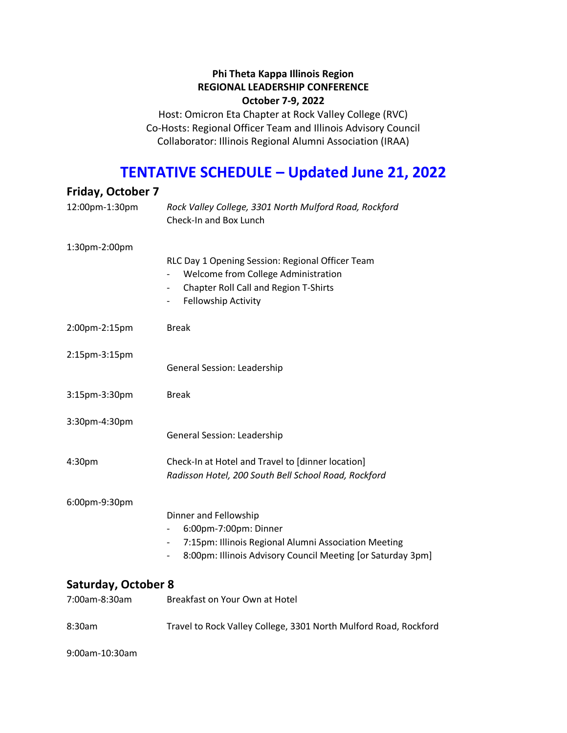### **Phi Theta Kappa Illinois Region REGIONAL LEADERSHIP CONFERENCE October 7-9, 2022**

Host: Omicron Eta Chapter at Rock Valley College (RVC) Co-Hosts: Regional Officer Team and Illinois Advisory Council Collaborator: Illinois Regional Alumni Association (IRAA)

# **TENTATIVE SCHEDULE – Updated June 21, 2022**

| <b>Friday, October 7</b>             |                                                                                                                                                                                                                 |
|--------------------------------------|-----------------------------------------------------------------------------------------------------------------------------------------------------------------------------------------------------------------|
| 12:00pm-1:30pm                       | Rock Valley College, 3301 North Mulford Road, Rockford<br>Check-In and Box Lunch                                                                                                                                |
| 1:30pm-2:00pm                        | RLC Day 1 Opening Session: Regional Officer Team<br>Welcome from College Administration<br><b>Chapter Roll Call and Region T-Shirts</b><br>Fellowship Activity                                                  |
| 2:00pm-2:15pm                        | <b>Break</b>                                                                                                                                                                                                    |
| 2:15pm-3:15pm                        | General Session: Leadership                                                                                                                                                                                     |
| 3:15pm-3:30pm                        | <b>Break</b>                                                                                                                                                                                                    |
| 3:30pm-4:30pm                        | General Session: Leadership                                                                                                                                                                                     |
| 4:30pm                               | Check-In at Hotel and Travel to [dinner location]<br>Radisson Hotel, 200 South Bell School Road, Rockford                                                                                                       |
| 6:00pm-9:30pm                        | Dinner and Fellowship<br>6:00pm-7:00pm: Dinner<br>7:15pm: Illinois Regional Alumni Association Meeting<br>$\qquad \qquad -$<br>8:00pm: Illinois Advisory Council Meeting [or Saturday 3pm]<br>$\qquad \qquad -$ |
| Saturday, October 8<br>7:00am-8:30am | Breakfast on Your Own at Hotel                                                                                                                                                                                  |
| 8:30am                               | Travel to Rock Valley College, 3301 North Mulford Road, Rockford                                                                                                                                                |

9:00am-10:30am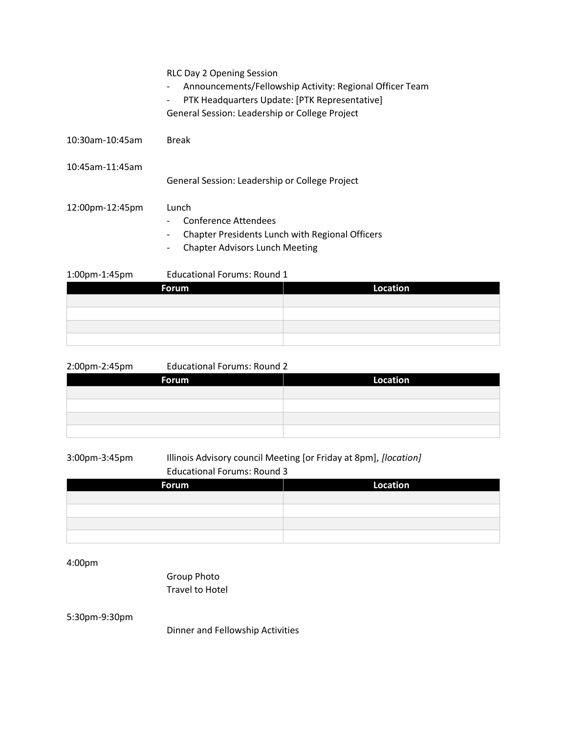|                 | Forum                                                             | Location                                                 |  |
|-----------------|-------------------------------------------------------------------|----------------------------------------------------------|--|
| 1:00pm-1:45pm   | <b>Educational Forums: Round 1</b>                                |                                                          |  |
|                 | <b>Chapter Advisors Lunch Meeting</b><br>$\overline{\phantom{a}}$ |                                                          |  |
|                 | $\overline{\phantom{a}}$                                          | <b>Chapter Presidents Lunch with Regional Officers</b>   |  |
|                 | Conference Attendees                                              |                                                          |  |
| 12:00pm-12:45pm | Lunch                                                             |                                                          |  |
|                 | General Session: Leadership or College Project                    |                                                          |  |
| 10:45am-11:45am |                                                                   |                                                          |  |
|                 |                                                                   |                                                          |  |
| 10:30am-10:45am | <b>Break</b>                                                      |                                                          |  |
|                 | General Session: Leadership or College Project                    |                                                          |  |
|                 | $\overline{\phantom{a}}$                                          | PTK Headquarters Update: [PTK Representative]            |  |
|                 | $\overline{\phantom{a}}$                                          | Announcements/Fellowship Activity: Regional Officer Team |  |
|                 | <b>RLC Day 2 Opening Session</b>                                  |                                                          |  |

| Forum | Location |
|-------|----------|
|       |          |
|       |          |
|       |          |
|       |          |

| 2:00pm-2:45pm | <b>Educational Forums: Round 2</b> |                 |
|---------------|------------------------------------|-----------------|
| Forum         |                                    | <b>Location</b> |
|               |                                    |                 |
|               |                                    |                 |
|               |                                    |                 |
|               |                                    |                 |

### 3:00pm-3:45pm Illinois Advisory council Meeting [or Friday at 8pm], *[location]* Educational Forums: Round 3

| <b>Forum</b> | <b>Location</b> |
|--------------|-----------------|
|              |                 |
|              |                 |
|              |                 |
|              |                 |

4:00pm

Group Photo Travel to Hotel

5:30pm-9:30pm

Dinner and Fellowship Activities